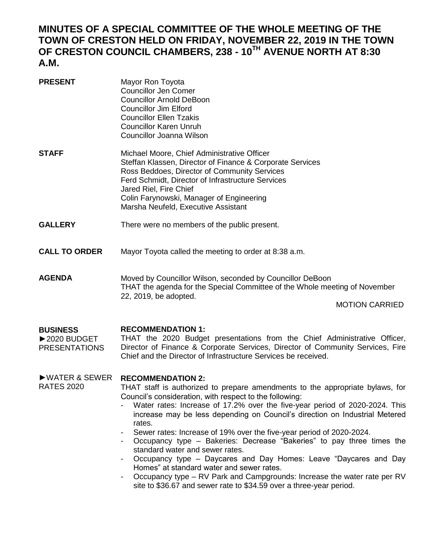## **MINUTES OF A SPECIAL COMMITTEE OF THE WHOLE MEETING OF THE TOWN OF CRESTON HELD ON FRIDAY, NOVEMBER 22, 2019 IN THE TOWN OF CRESTON COUNCIL CHAMBERS, 238 - 10TH AVENUE NORTH AT 8:30 A.M.**

| <b>PRESENT</b>                                           | Mayor Ron Toyota<br><b>Councillor Jen Comer</b><br><b>Councillor Arnold DeBoon</b><br><b>Councillor Jim Elford</b><br><b>Councillor Ellen Tzakis</b><br><b>Councillor Karen Unruh</b><br>Councillor Joanna Wilson                                                                                                          |
|----------------------------------------------------------|----------------------------------------------------------------------------------------------------------------------------------------------------------------------------------------------------------------------------------------------------------------------------------------------------------------------------|
| <b>STAFF</b>                                             | Michael Moore, Chief Administrative Officer<br>Steffan Klassen, Director of Finance & Corporate Services<br>Ross Beddoes, Director of Community Services<br>Ferd Schmidt, Director of Infrastructure Services<br>Jared Riel, Fire Chief<br>Colin Farynowski, Manager of Engineering<br>Marsha Neufeld, Executive Assistant |
| <b>GALLERY</b>                                           | There were no members of the public present.                                                                                                                                                                                                                                                                               |
| <b>CALL TO ORDER</b>                                     | Mayor Toyota called the meeting to order at 8:38 a.m.                                                                                                                                                                                                                                                                      |
| <b>AGENDA</b>                                            | Moved by Councillor Wilson, seconded by Councillor DeBoon<br>THAT the agenda for the Special Committee of the Whole meeting of November<br>22, 2019, be adopted.<br><b>MOTION CARRIED</b>                                                                                                                                  |
| <b>BUSINESS</b><br>▶ 2020 BUDGET<br><b>PRESENTATIONS</b> | <b>RECOMMENDATION 1:</b><br>THAT the 2020 Budget presentations from the Chief Administrative Officer,<br>Director of Finance & Corporate Services, Director of Community Services, Fire<br>Chief and the Director of Infrastructure Services be received.                                                                  |
| $\triangleright$ WATER & SEWER                           | <b>RECOMMENDATION 2:</b>                                                                                                                                                                                                                                                                                                   |

THAT staff is authorized to prepare amendments to the appropriate bylaws, for Council's consideration, with respect to the following:

RATES 2020

- Water rates: Increase of 17.2% over the five-year period of 2020-2024. This increase may be less depending on Council's direction on Industrial Metered rates.
- Sewer rates: Increase of 19% over the five-year period of 2020-2024.
- Occupancy type Bakeries: Decrease "Bakeries" to pay three times the standard water and sewer rates.
- Occupancy type Daycares and Day Homes: Leave "Daycares and Day Homes" at standard water and sewer rates.
- Occupancy type RV Park and Campgrounds: Increase the water rate per RV site to \$36.67 and sewer rate to \$34.59 over a three-year period.